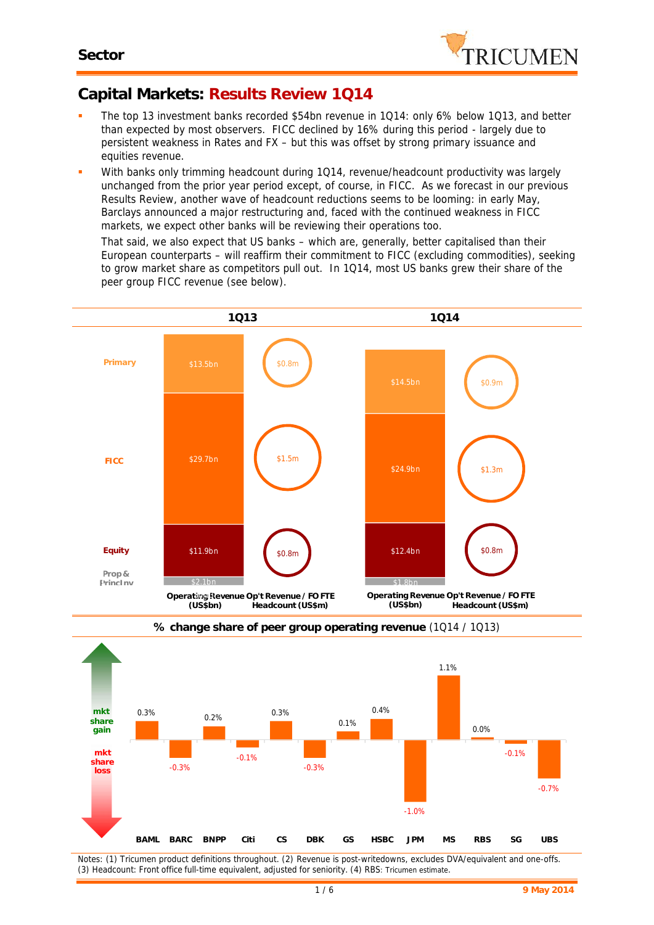

## **Capital Markets: Results Review 1Q14**

- The top 13 investment banks recorded \$54bn revenue in 1Q14: only 6% below 1Q13, and better than expected by most observers. FICC declined by 16% during this period - largely due to persistent weakness in Rates and FX – but this was offset by strong primary issuance and equities revenue.
- With banks only trimming headcount during 1Q14, revenue/headcount productivity was largely unchanged from the prior year period except, of course, in FICC. As we forecast in our previous Results Review, another wave of headcount reductions seems to be looming: in early May, Barclays announced a major restructuring and, faced with the continued weakness in FICC markets, we expect other banks will be reviewing their operations too.

That said, we also expect that US banks – which are, generally, better capitalised than their European counterparts – will reaffirm their commitment to FICC (excluding commodities), seeking to grow market share as competitors pull out. In 1Q14, most US banks grew their share of the peer group FICC revenue (see below).





**% change share of peer group operating revenue** (1Q14 / 1Q13)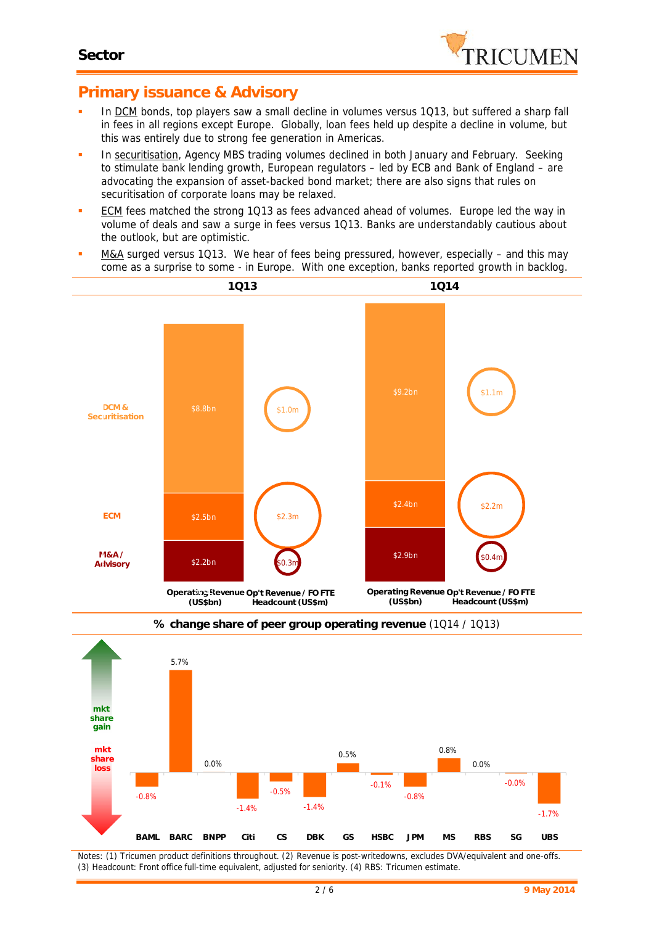

## **Primary issuance & Advisory**

- In DCM bonds, top players saw a small decline in volumes versus 1Q13, but suffered a sharp fall in fees in all regions except Europe. Globally, loan fees held up despite a decline in volume, but this was entirely due to strong fee generation in Americas.
- In securitisation, Agency MBS trading volumes declined in both January and February. Seeking to stimulate bank lending growth, European regulators – led by ECB and Bank of England – are advocating the expansion of asset-backed bond market; there are also signs that rules on securitisation of corporate loans may be relaxed.
- **ECM** fees matched the strong 1Q13 as fees advanced ahead of volumes. Europe led the way in volume of deals and saw a surge in fees versus 1Q13. Banks are understandably cautious about the outlook, but are optimistic.
- M&A surged versus 1Q13. We hear of fees being pressured, however, especially and this may come as a surprise to some - in Europe. With one exception, banks reported growth in backlog.





**% change share of peer group operating revenue** (1Q14 / 1Q13)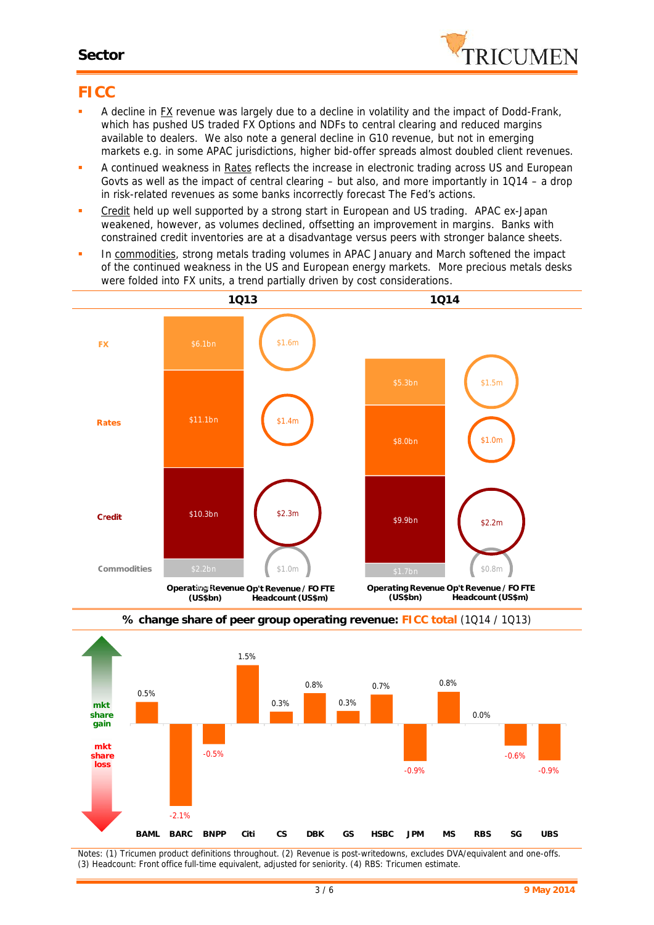#### **Sector**



### **FICC**

- A decline in FX revenue was largely due to a decline in volatility and the impact of Dodd-Frank, which has pushed US traded FX Options and NDFs to central clearing and reduced margins available to dealers. We also note a general decline in G10 revenue, but not in emerging markets e.g. in some APAC jurisdictions, higher bid-offer spreads almost doubled client revenues.
- **A** continued weakness in Rates reflects the increase in electronic trading across US and European Govts as well as the impact of central clearing – but also, and more importantly in 1Q14 – a drop in risk-related revenues as some banks incorrectly forecast The Fed's actions.
- Credit held up well supported by a strong start in European and US trading. APAC ex-Japan weakened, however, as volumes declined, offsetting an improvement in margins. Banks with constrained credit inventories are at a disadvantage versus peers with stronger balance sheets.
- In commodities, strong metals trading volumes in APAC January and March softened the impact of the continued weakness in the US and European energy markets. More precious metals desks were folded into FX units, a trend partially driven by cost considerations.





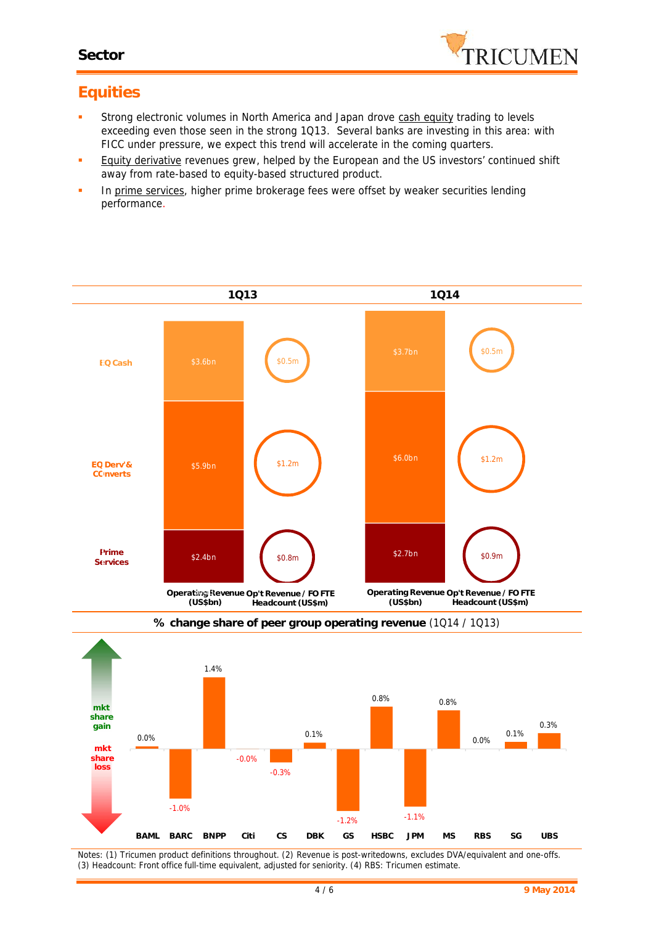#### **Sector**



# **Equities**

- Strong electronic volumes in North America and Japan drove cash equity trading to levels exceeding even those seen in the strong 1Q13. Several banks are investing in this area: with FICC under pressure, we expect this trend will accelerate in the coming quarters.
- **Equity derivative revenues grew, helped by the European and the US investors' continued shift** away from rate-based to equity-based structured product.
- In prime services, higher prime brokerage fees were offset by weaker securities lending performance.



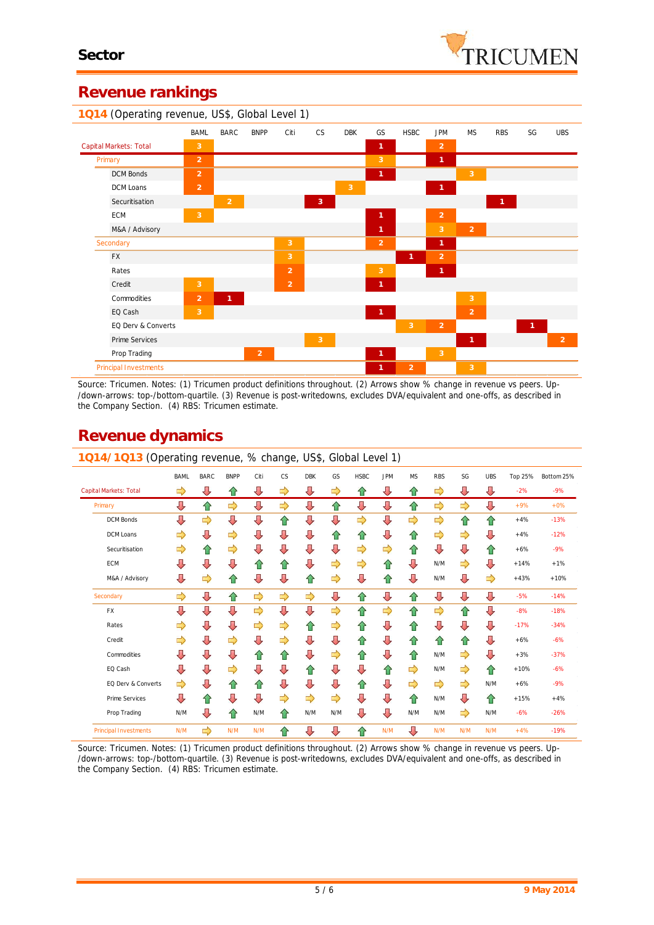## **Revenue rankings**



*Source: Tricumen. Notes: (1) Tricumen product definitions throughout. (2) Arrows show % change in revenue vs peers. Up- /down-arrows: top-/bottom-quartile. (3) Revenue is post-writedowns, excludes DVA/equivalent and one-offs, as described in the Company Section. (4) RBS: Tricumen estimate.*

# **Revenue dynamics**

| 1Q14/1Q13 (Operating revenue, % change, US\$, Global Level 1) |             |             |             |      |    |               |     |             |            |           |            |               |            |         |            |
|---------------------------------------------------------------|-------------|-------------|-------------|------|----|---------------|-----|-------------|------------|-----------|------------|---------------|------------|---------|------------|
|                                                               | <b>BAML</b> | <b>BARC</b> | <b>BNPP</b> | Citi | CS | <b>DBK</b>    | GS  | <b>HSBC</b> | <b>JPM</b> | <b>MS</b> | <b>RBS</b> | SG            | <b>UBS</b> | Top 25% | Bottom 25% |
| Capital Markets: Total                                        | ⇨           | ⊕           | ⇧           | ⇩    | ⇨  | ⇩             | ⇨   | ⇧           | ⇩          | ⇧         | ⇨          | ⊕             | ⇩          | $-2%$   | $-9%$      |
| Primary                                                       | ⇩           | 슌           | ⇨           | ⇩    | ⇨  | ⇩             | ⇧   | ⇩           | ⇩          | ⇧         | ⇨          | $\Rightarrow$ | ⇩          | $+9%$   | $+0%$      |
| <b>DCM Bonds</b>                                              | ⇩           | ⇨           | ⇩           | ⇩    | ⇧  | ⇩             | ⇩   | ⇨           | ⇩          | ⇨         | ⇨          | ⇧             | ⇧          | $+4%$   | $-13%$     |
| DCM Loans                                                     | ⇨           | ⇩           | ⇨           | ⇩    | ⇩  | ⇩             | ⇧   | ⇧           | ⇩          | ⇧         | ⇨          | ⇨             | ⇩          | $+4%$   | $-12%$     |
| Securitisation                                                | ⇨           | ⇑           | ⇨           | ⇩    | ⇩  | ⇩             | ⇩   | ⇨           | ⇨          | ⇧         | ⇩          | ⇩             | ⇑          | $+6%$   | $-9%$      |
| <b>ECM</b>                                                    | ⇩           | ⇩           | ⇩           | ⇑    | ⇧  | ⇩             | ⇨   | ⇨           | ⇧          | ⇩         | N/M        | ⇨             | ⇩          | $+14%$  | $+1%$      |
| M&A / Advisory                                                | ⇩           | ⇨           | ⇑           | ⇩    | ⇩  | ⇧             | ⇨   | ⇩           | 슙          | ⇩         | N/M        | ⇩             | ⇨          | $+43%$  | $+10%$     |
| Secondary                                                     | ⇨           | ⇩           | ⇧           | ⇨    | ⇨  | ⇨             | ⇩   | ⇧           | ⇩          | ⇧         | ⇩          | ⇩             | ⇩          | $-5%$   | $-14%$     |
| FX                                                            | ⇩           | ⇩           | ⇩           | ⇨    | ⇩  | ⇩             | ⇨   | ⇧           | ⇨          | ⇧         | ⇨          | ⇧             | ⇩          | $-8%$   | $-18%$     |
| Rates                                                         | ⇨           | J           | ⇩           | ⇨    | ⇨  | ⇧             | ⇨   | ⇧           | ⇩          | ⇧         | ⇩          | ⇩             | ⇩          | $-17%$  | $-34%$     |
| Credit                                                        | ⇨           | Д           | ⇨           | ⇩    | ⇨  | ⇩             | ⇩   | ⇧           | ⇩          | ⇧         | ⇧          | ⇧             | ⇩          | $+6%$   | $-6%$      |
| Commodities                                                   | ⇩           | J           | ⇩           | ⇑    | ⇧  | ⇩             | ⇨   | ⇧           | ⇩          | ⇧         | N/M        | ⇨             | ⇩          | $+3%$   | $-37%$     |
| EQ Cash                                                       | ⇩           | J           | ⇨           | ⇩    | ⇩  | ⇑             | ⇩   | ⇩           | ⇧          | ⇨         | N/M        | ⇨             | ⇑          | $+10%$  | $-6%$      |
| EQ Derv & Converts                                            | ⇨           | ⇩           | ⇑           | ⇑    | ⇩  | ⇩             | ⇩   | ⇧           | ⇩          | ⇨         | ⇨          | ⇨             | N/M        | $+6%$   | $-9%$      |
| Prime Services                                                | IJ          | ⇧           | ⇩           | ⇩    | ⇨  | $\Rightarrow$ | ⇨   | ⇩           | ⇩          | ⇧         | N/M        | J,            | ⇑          | $+15%$  | $+4%$      |
| Prop Trading                                                  | N/M         | Д           | ⇑           | N/M  | ⇧  | N/M           | N/M | ⇩           | ⇩          | N/M       | N/M        | ⇨             | N/M        | $-6%$   | $-26%$     |
| <b>Principal Investments</b>                                  | N/M         | ⇨           | N/M         | N/M  | ⇧  | ⇩             | ⇩   | ⇧           | N/M        | ⇩         | N/M        | N/M           | N/M        | $+4%$   | $-19%$     |

*Source: Tricumen. Notes: (1) Tricumen product definitions throughout. (2) Arrows show % change in revenue vs peers. Up- /down-arrows: top-/bottom-quartile. (3) Revenue is post-writedowns, excludes DVA/equivalent and one-offs, as described in the Company Section. (4) RBS: Tricumen estimate.*